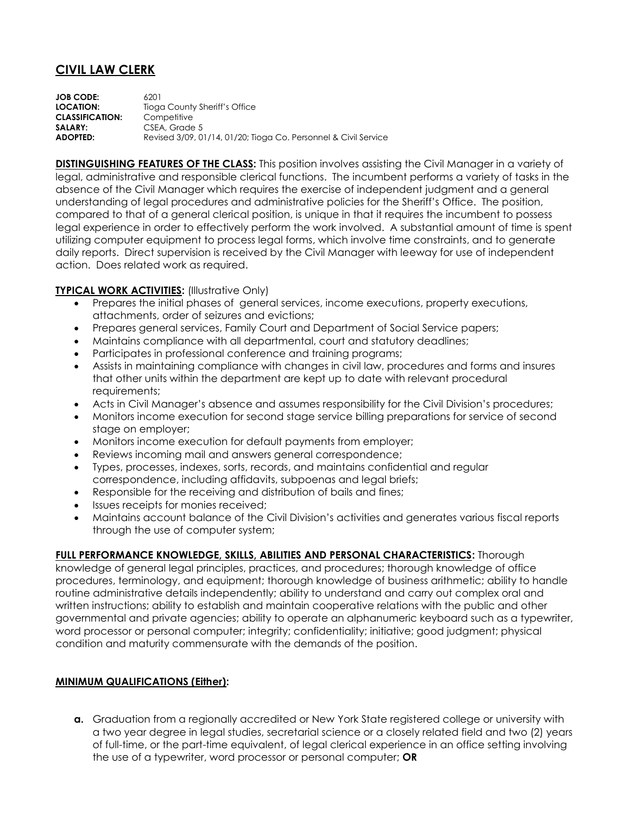## **CIVIL LAW CLERK**

**JOB CODE:** 6201 **LOCATION:** Tioga County Sheriff's Office **CLASSIFICATION:** Competitive SALARY: CSEA, Grade 5 **ADOPTED:** Revised 3/09, 01/14, 01/20; Tioga Co. Personnel & Civil Service

**DISTINGUISHING FEATURES OF THE CLASS:** This position involves assisting the Civil Manager in a variety of legal, administrative and responsible clerical functions. The incumbent performs a variety of tasks in the absence of the Civil Manager which requires the exercise of independent judgment and a general understanding of legal procedures and administrative policies for the Sheriff's Office. The position, compared to that of a general clerical position, is unique in that it requires the incumbent to possess legal experience in order to effectively perform the work involved. A substantial amount of time is spent utilizing computer equipment to process legal forms, which involve time constraints, and to generate daily reports. Direct supervision is received by the Civil Manager with leeway for use of independent action. Does related work as required.

## **TYPICAL WORK ACTIVITIES: (Illustrative Only)**

- Prepares the initial phases of general services, income executions, property executions, attachments, order of seizures and evictions;
- Prepares general services, Family Court and Department of Social Service papers;
- Maintains compliance with all departmental, court and statutory deadlines;
- Participates in professional conference and training programs;
- Assists in maintaining compliance with changes in civil law, procedures and forms and insures that other units within the department are kept up to date with relevant procedural requirements;
- Acts in Civil Manager's absence and assumes responsibility for the Civil Division's procedures;
- Monitors income execution for second stage service billing preparations for service of second stage on employer;
- Monitors income execution for default payments from employer;
- Reviews incoming mail and answers general correspondence;
- Types, processes, indexes, sorts, records, and maintains confidential and regular correspondence, including affidavits, subpoenas and legal briefs;
- Responsible for the receiving and distribution of bails and fines;
- Issues receipts for monies received;
- Maintains account balance of the Civil Division's activities and generates various fiscal reports through the use of computer system;

## **FULL PERFORMANCE KNOWLEDGE, SKILLS, ABILITIES AND PERSONAL CHARACTERISTICS:** Thorough

knowledge of general legal principles, practices, and procedures; thorough knowledge of office procedures, terminology, and equipment; thorough knowledge of business arithmetic; ability to handle routine administrative details independently; ability to understand and carry out complex oral and written instructions; ability to establish and maintain cooperative relations with the public and other governmental and private agencies; ability to operate an alphanumeric keyboard such as a typewriter, word processor or personal computer; integrity; confidentiality; initiative; good judgment; physical condition and maturity commensurate with the demands of the position.

## **MINIMUM QUALIFICATIONS (Either):**

**a.** Graduation from a regionally accredited or New York State registered college or university with a two year degree in legal studies, secretarial science or a closely related field and two (2) years of full-time, or the part-time equivalent, of legal clerical experience in an office setting involving the use of a typewriter, word processor or personal computer; **OR**